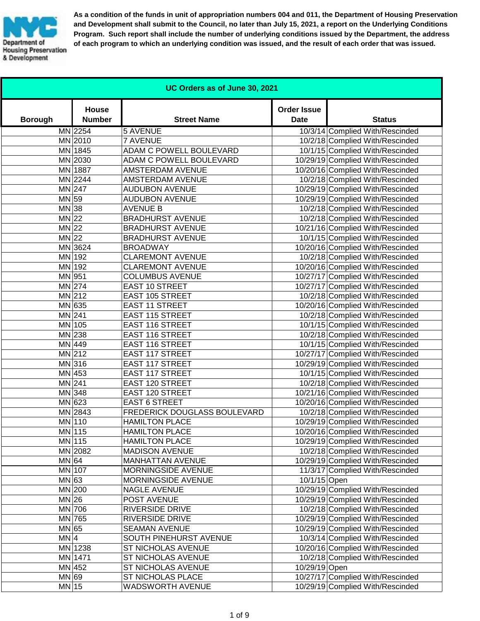

**As a condition of the funds in unit of appropriation numbers 004 and 011, the Department of Housing Preservation and Development shall submit to the Council, no later than July 15, 2021, a report on the Underlying Conditions Program. Such report shall include the number of underlying conditions issued by the Department, the address of each program to which an underlying condition was issued, and the result of each order that was issued.**

| UC Orders as of June 30, 2021 |                               |                              |                                   |                                  |
|-------------------------------|-------------------------------|------------------------------|-----------------------------------|----------------------------------|
| <b>Borough</b>                | <b>House</b><br><b>Number</b> | <b>Street Name</b>           | <b>Order Issue</b><br><b>Date</b> | <b>Status</b>                    |
|                               | MN 2254                       | <b>5 AVENUE</b>              |                                   | 10/3/14 Complied With/Rescinded  |
|                               | MN 2010                       | <b>7 AVENUE</b>              |                                   | 10/2/18 Complied With/Rescinded  |
|                               | MN 1845                       | ADAM C POWELL BOULEVARD      |                                   | 10/1/15 Complied With/Rescinded  |
|                               | MN 2030                       | ADAM C POWELL BOULEVARD      |                                   | 10/29/19 Complied With/Rescinded |
|                               | MN 1887                       | <b>AMSTERDAM AVENUE</b>      |                                   | 10/20/16 Complied With/Rescinded |
|                               | MN 2244                       | AMSTERDAM AVENUE             |                                   | 10/2/18 Complied With/Rescinded  |
|                               | MN 247                        | <b>AUDUBON AVENUE</b>        |                                   | 10/29/19 Complied With/Rescinded |
| MN 59                         |                               | <b>AUDUBON AVENUE</b>        |                                   | 10/29/19 Complied With/Rescinded |
| $MN$ 38                       |                               | <b>AVENUE B</b>              |                                   | 10/2/18 Complied With/Rescinded  |
| $MN$ 22                       |                               | <b>BRADHURST AVENUE</b>      |                                   | 10/2/18 Complied With/Rescinded  |
| $MN$ 22                       |                               | <b>BRADHURST AVENUE</b>      |                                   | 10/21/16 Complied With/Rescinded |
| $MN$ 22                       |                               | <b>BRADHURST AVENUE</b>      |                                   | 10/1/15 Complied With/Rescinded  |
|                               | MN 3624                       | <b>BROADWAY</b>              |                                   | 10/20/16 Complied With/Rescinded |
|                               | MN 192                        | <b>CLAREMONT AVENUE</b>      |                                   | 10/2/18 Complied With/Rescinded  |
|                               | MN 192                        | <b>CLAREMONT AVENUE</b>      |                                   | 10/20/16 Complied With/Rescinded |
|                               | MN 951                        | <b>COLUMBUS AVENUE</b>       |                                   | 10/27/17 Complied With/Rescinded |
|                               | $MN$ 274                      | <b>EAST 10 STREET</b>        |                                   | 10/27/17 Complied With/Rescinded |
|                               | MN 212                        | <b>EAST 105 STREET</b>       |                                   | 10/2/18 Complied With/Rescinded  |
|                               | $MN$ 635                      | <b>EAST 11 STREET</b>        |                                   | 10/20/16 Complied With/Rescinded |
|                               | MN 241                        | <b>EAST 115 STREET</b>       |                                   | 10/2/18 Complied With/Rescinded  |
|                               | MN 105                        | <b>EAST 116 STREET</b>       |                                   | 10/1/15 Complied With/Rescinded  |
|                               | $MN$ 238                      | <b>EAST 116 STREET</b>       |                                   | 10/2/18 Complied With/Rescinded  |
|                               | MN 449                        | <b>EAST 116 STREET</b>       |                                   | 10/1/15 Complied With/Rescinded  |
|                               | $MN$  212                     | <b>EAST 117 STREET</b>       |                                   | 10/27/17 Complied With/Rescinded |
|                               | MN 316                        | <b>EAST 117 STREET</b>       |                                   | 10/29/19 Complied With/Rescinded |
|                               | $MN$ 453                      | <b>EAST 117 STREET</b>       |                                   | 10/1/15 Complied With/Rescinded  |
|                               | $MN$ 241                      | <b>EAST 120 STREET</b>       |                                   | 10/2/18 Complied With/Rescinded  |
|                               | MN 348                        | <b>EAST 120 STREET</b>       |                                   | 10/21/16 Complied With/Rescinded |
|                               | $MN$ 623                      | <b>EAST 6 STREET</b>         |                                   | 10/20/16 Complied With/Rescinded |
|                               | MN 2843                       | FREDERICK DOUGLASS BOULEVARD |                                   | 10/2/18 Complied With/Rescinded  |
|                               | MN 110                        | <b>HAMILTON PLACE</b>        |                                   | 10/29/19 Complied With/Rescinded |
|                               | MN 115                        | <b>HAMILTON PLACE</b>        |                                   | 10/20/16 Complied With/Rescinded |
|                               | MN 115                        | <b>HAMILTON PLACE</b>        |                                   | 10/29/19 Complied With/Rescinded |
|                               | MN 2082                       | <b>MADISON AVENUE</b>        |                                   | 10/2/18 Complied With/Rescinded  |
| MN 64                         |                               | MANHATTAN AVENUE             |                                   | 10/29/19 Complied With/Rescinded |
|                               | MN 107                        | MORNINGSIDE AVENUE           |                                   | 11/3/17 Complied With/Rescinded  |
| MN 63                         |                               | MORNINGSIDE AVENUE           | 10/1/15 Open                      |                                  |
|                               | MN 200                        | <b>NAGLE AVENUE</b>          |                                   | 10/29/19 Complied With/Rescinded |
| $MN$ 26                       |                               | POST AVENUE                  |                                   | 10/29/19 Complied With/Rescinded |
|                               | MN 706                        | RIVERSIDE DRIVE              |                                   | 10/2/18 Complied With/Rescinded  |
|                               | MN 765                        | RIVERSIDE DRIVE              |                                   | 10/29/19 Complied With/Rescinded |
| MN 65                         |                               | <b>SEAMAN AVENUE</b>         |                                   | 10/29/19 Complied With/Rescinded |
| MN 4                          |                               | SOUTH PINEHURST AVENUE       |                                   | 10/3/14 Complied With/Rescinded  |
|                               | MN 1238                       | ST NICHOLAS AVENUE           |                                   | 10/20/16 Complied With/Rescinded |
|                               | MN 1471                       | ST NICHOLAS AVENUE           |                                   | 10/2/18 Complied With/Rescinded  |
|                               | MN 452                        | ST NICHOLAS AVENUE           | 10/29/19 Open                     |                                  |
| MN 69                         |                               | ST NICHOLAS PLACE            |                                   | 10/27/17 Complied With/Rescinded |
| MN 15                         |                               | WADSWORTH AVENUE             |                                   | 10/29/19 Complied With/Rescinded |
|                               |                               |                              |                                   |                                  |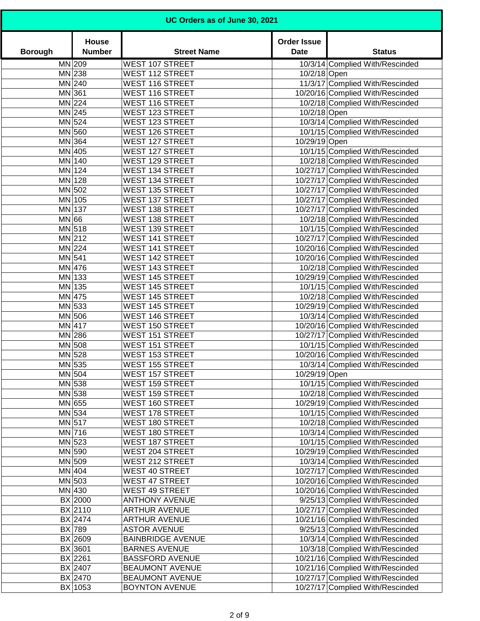| UC Orders as of June 30, 2021 |                               |                                                  |                                   |                                                                      |
|-------------------------------|-------------------------------|--------------------------------------------------|-----------------------------------|----------------------------------------------------------------------|
| <b>Borough</b>                | <b>House</b><br><b>Number</b> | <b>Street Name</b>                               | <b>Order Issue</b><br><b>Date</b> | <b>Status</b>                                                        |
|                               | MN 209                        | <b>WEST 107 STREET</b>                           |                                   | 10/3/14 Complied With/Rescinded                                      |
|                               | $MN$ 238                      | <b>WEST 112 STREET</b>                           | 10/2/18 Open                      |                                                                      |
|                               | MN 240                        | <b>WEST 116 STREET</b>                           |                                   | 11/3/17 Complied With/Rescinded                                      |
|                               | MN 361                        | <b>WEST 116 STREET</b>                           |                                   | 10/20/16 Complied With/Rescinded                                     |
|                               | $MN$ 224                      | <b>WEST 116 STREET</b>                           |                                   | 10/2/18 Complied With/Rescinded                                      |
|                               | $MN$ 245                      | <b>WEST 123 STREET</b>                           | 10/2/18 Open                      |                                                                      |
|                               | MN 524                        | <b>WEST 123 STREET</b>                           |                                   | 10/3/14 Complied With/Rescinded                                      |
|                               | MN 560                        | <b>WEST 126 STREET</b>                           |                                   | 10/1/15 Complied With/Rescinded                                      |
|                               | MN 364                        | <b>WEST 127 STREET</b>                           | 10/29/19 Open                     | 10/1/15 Complied With/Rescinded                                      |
|                               | MN 405<br>MN 140              | <b>WEST 127 STREET</b><br><b>WEST 129 STREET</b> |                                   | 10/2/18 Complied With/Rescinded                                      |
|                               | MN 124                        | <b>WEST 134 STREET</b>                           |                                   | 10/27/17 Complied With/Rescinded                                     |
|                               | MN 128                        | <b>WEST 134 STREET</b>                           |                                   | 10/27/17 Complied With/Rescinded                                     |
|                               | MN 502                        | <b>WEST 135 STREET</b>                           |                                   | 10/27/17 Complied With/Rescinded                                     |
|                               | MN 105                        | <b>WEST 137 STREET</b>                           |                                   | 10/27/17 Complied With/Rescinded                                     |
|                               | MN 137                        | <b>WEST 138 STREET</b>                           |                                   | 10/27/17 Complied With/Rescinded                                     |
| MN 66                         |                               | <b>WEST 138 STREET</b>                           |                                   | 10/2/18 Complied With/Rescinded                                      |
|                               | $MN$ 518                      | <b>WEST 139 STREET</b>                           |                                   | 10/1/15 Complied With/Rescinded                                      |
|                               | $MN$ 212                      | <b>WEST 141 STREET</b>                           |                                   | 10/27/17 Complied With/Rescinded                                     |
|                               | $MN$ 224                      | <b>WEST 141 STREET</b>                           |                                   | 10/20/16 Complied With/Rescinded                                     |
| MN 541                        |                               | <b>WEST 142 STREET</b>                           |                                   | 10/20/16 Complied With/Rescinded                                     |
|                               | MN 476                        | <b>WEST 143 STREET</b>                           |                                   | 10/2/18 Complied With/Rescinded                                      |
|                               | MN 133                        | <b>WEST 145 STREET</b>                           |                                   | 10/29/19 Complied With/Rescinded                                     |
|                               | MN 135                        | <b>WEST 145 STREET</b>                           |                                   | 10/1/15 Complied With/Rescinded                                      |
|                               | MN 475                        | <b>WEST 145 STREET</b>                           |                                   | 10/2/18 Complied With/Rescinded                                      |
|                               | MN 533                        | <b>WEST 145 STREET</b>                           |                                   | 10/29/19 Complied With/Rescinded                                     |
|                               | MN 506                        | <b>WEST 146 STREET</b>                           |                                   | 10/3/14 Complied With/Rescinded                                      |
|                               | MN 417                        | <b>WEST 150 STREET</b>                           |                                   | 10/20/16 Complied With/Rescinded                                     |
|                               | $MN$ 286                      | <b>WEST 151 STREET</b>                           |                                   | 10/27/17 Complied With/Rescinded                                     |
|                               | MN 508                        | <b>WEST 151 STREET</b>                           |                                   | 10/1/15 Complied With/Rescinded                                      |
|                               | MN 528                        | <b>WEST 153 STREET</b>                           |                                   | 10/20/16 Complied With/Rescinded                                     |
|                               | MN 535                        | <b>WEST 155 STREET</b>                           |                                   | 10/3/14 Complied With/Rescinded                                      |
|                               | $MN$ 504                      | <b>WEST 157 STREET</b>                           | 10/29/19 Open                     |                                                                      |
|                               | $MN$ 538                      | <b>WEST 159 STREET</b>                           |                                   | 10/1/15 Complied With/Rescinded                                      |
|                               | $MN$ 538                      | <b>WEST 159 STREET</b>                           |                                   | 10/2/18 Complied With/Rescinded                                      |
|                               | MN 655                        | <b>WEST 160 STREET</b>                           |                                   | 10/29/19 Complied With/Rescinded                                     |
|                               | MN 534                        | WEST 178 STREET                                  |                                   | 10/1/15 Complied With/Rescinded                                      |
|                               | MN 517                        | <b>WEST 180 STREET</b>                           |                                   | 10/2/18 Complied With/Rescinded                                      |
|                               | MN 716                        | <b>WEST 180 STREET</b>                           |                                   | 10/3/14 Complied With/Rescinded                                      |
|                               | $MN$ 523                      | <b>WEST 187 STREET</b>                           |                                   | 10/1/15 Complied With/Rescinded                                      |
|                               | MN 590                        | <b>WEST 204 STREET</b>                           |                                   | 10/29/19 Complied With/Rescinded                                     |
|                               | MN 509                        | <b>WEST 212 STREET</b>                           |                                   | 10/3/14 Complied With/Rescinded                                      |
|                               | MN 404                        | <b>WEST 40 STREET</b>                            |                                   | 10/27/17 Complied With/Rescinded                                     |
|                               | $MN$ 503<br>MN 430            | <b>WEST 47 STREET</b><br><b>WEST 49 STREET</b>   |                                   | 10/20/16 Complied With/Rescinded<br>10/20/16 Complied With/Rescinded |
|                               | BX 2000                       | <b>ANTHONY AVENUE</b>                            |                                   | 9/25/13 Complied With/Rescinded                                      |
|                               | BX 2110                       | <b>ARTHUR AVENUE</b>                             |                                   | 10/27/17 Complied With/Rescinded                                     |
|                               | BX 2474                       | <b>ARTHUR AVENUE</b>                             |                                   | 10/21/16 Complied With/Rescinded                                     |
|                               | BX 789                        | <b>ASTOR AVENUE</b>                              |                                   | 9/25/13 Complied With/Rescinded                                      |
|                               | BX 2609                       | <b>BAINBRIDGE AVENUE</b>                         |                                   | 10/3/14 Complied With/Rescinded                                      |
|                               | BX 3601                       | <b>BARNES AVENUE</b>                             |                                   | 10/3/18 Complied With/Rescinded                                      |
|                               | $BX$  2261                    | <b>BASSFORD AVENUE</b>                           |                                   | 10/21/16 Complied With/Rescinded                                     |
|                               | BX 2407                       | <b>BEAUMONT AVENUE</b>                           |                                   | 10/21/16 Complied With/Rescinded                                     |
|                               | BX 2470                       | <b>BEAUMONT AVENUE</b>                           |                                   | 10/27/17 Complied With/Rescinded                                     |
|                               | BX 1053                       | <b>BOYNTON AVENUE</b>                            |                                   | 10/27/17 Complied With/Rescinded                                     |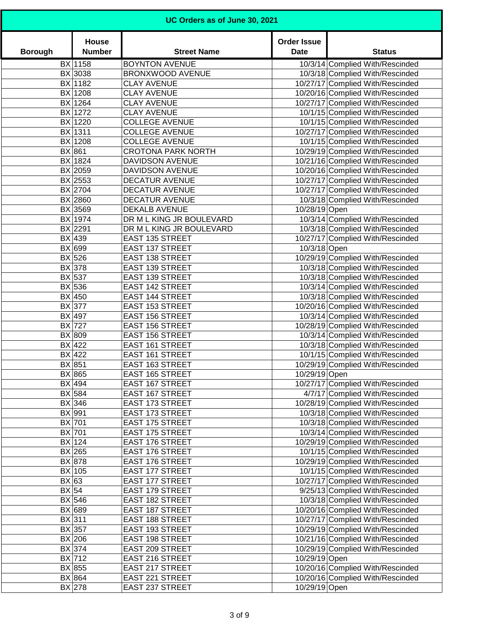| UC Orders as of June 30, 2021 |                        |                           |                                   |                                  |
|-------------------------------|------------------------|---------------------------|-----------------------------------|----------------------------------|
| <b>Borough</b>                | House<br><b>Number</b> | <b>Street Name</b>        | <b>Order Issue</b><br><b>Date</b> | <b>Status</b>                    |
|                               | BX 1158                | <b>BOYNTON AVENUE</b>     |                                   | 10/3/14 Complied With/Rescinded  |
|                               | BX 3038                | BRONXWOOD AVENUE          |                                   | 10/3/18 Complied With/Rescinded  |
|                               | BX 1182                | <b>CLAY AVENUE</b>        |                                   | 10/27/17 Complied With/Rescinded |
|                               | BX 1208                | <b>CLAY AVENUE</b>        |                                   | 10/20/16 Complied With/Rescinded |
|                               | BX 1264                | <b>CLAY AVENUE</b>        |                                   | 10/27/17 Complied With/Rescinded |
|                               | BX 1272                | <b>CLAY AVENUE</b>        |                                   | 10/1/15 Complied With/Rescinded  |
|                               | BX 1220                | <b>COLLEGE AVENUE</b>     |                                   | 10/1/15 Complied With/Rescinded  |
|                               | BX 1311                | <b>COLLEGE AVENUE</b>     |                                   | 10/27/17 Complied With/Rescinded |
|                               | BX 1208                | <b>COLLEGE AVENUE</b>     |                                   | 10/1/15 Complied With/Rescinded  |
|                               | BX 861                 | <b>CROTONA PARK NORTH</b> |                                   | 10/29/19 Complied With/Rescinded |
|                               | BX 1824                | <b>DAVIDSON AVENUE</b>    |                                   | 10/21/16 Complied With/Rescinded |
|                               | BX 2059                | <b>DAVIDSON AVENUE</b>    |                                   | 10/20/16 Complied With/Rescinded |
|                               | BX 2553                | <b>DECATUR AVENUE</b>     |                                   | 10/27/17 Complied With/Rescinded |
|                               | BX 2704                | <b>DECATUR AVENUE</b>     |                                   | 10/27/17 Complied With/Rescinded |
|                               | BX 2860                | DECATUR AVENUE            |                                   | 10/3/18 Complied With/Rescinded  |
|                               | BX 3569                | <b>DEKALB AVENUE</b>      | 10/28/19 Open                     |                                  |
|                               | BX 1974                | DR M L KING JR BOULEVARD  |                                   | 10/3/14 Complied With/Rescinded  |
|                               | BX 2291                | DR M L KING JR BOULEVARD  |                                   | 10/3/18 Complied With/Rescinded  |
|                               | BX 439                 | <b>EAST 135 STREET</b>    |                                   | 10/27/17 Complied With/Rescinded |
|                               | BX 699                 | <b>EAST 137 STREET</b>    | 10/3/18 Open                      |                                  |
|                               | BX 526                 | <b>EAST 138 STREET</b>    |                                   | 10/29/19 Complied With/Rescinded |
|                               | BX 378                 | <b>EAST 139 STREET</b>    |                                   | 10/3/18 Complied With/Rescinded  |
|                               | BX 537                 | <b>EAST 139 STREET</b>    |                                   | 10/3/18 Complied With/Rescinded  |
|                               | BX 536                 | <b>EAST 142 STREET</b>    |                                   | 10/3/14 Complied With/Rescinded  |
|                               | BX 450                 | <b>EAST 144 STREET</b>    |                                   | 10/3/18 Complied With/Rescinded  |
|                               | BX 377                 | <b>EAST 153 STREET</b>    |                                   | 10/20/16 Complied With/Rescinded |
|                               | BX 497                 | <b>EAST 156 STREET</b>    |                                   | 10/3/14 Complied With/Rescinded  |
|                               | BX 727                 | <b>EAST 156 STREET</b>    |                                   | 10/28/19 Complied With/Rescinded |
|                               | BX 809                 | <b>EAST 156 STREET</b>    |                                   | 10/3/14 Complied With/Rescinded  |
|                               | BX 422                 | <b>EAST 161 STREET</b>    |                                   | 10/3/18 Complied With/Rescinded  |
|                               | BX 422                 | <b>EAST 161 STREET</b>    |                                   | 10/1/15 Complied With/Rescinded  |
|                               | BX 851                 | <b>EAST 163 STREET</b>    |                                   | 10/29/19 Complied With/Rescinded |
|                               | BX 865                 | <b>EAST 165 STREET</b>    | 10/29/19 Open                     |                                  |
|                               | BX 494                 | <b>EAST 167 STREET</b>    |                                   | 10/27/17 Complied With/Rescinded |
|                               | $BX$ 584               | <b>EAST 167 STREET</b>    |                                   | 4/7/17 Complied With/Rescinded   |
|                               | $BX$ 346               | <b>EAST 173 STREET</b>    |                                   | 10/28/19 Complied With/Rescinded |
|                               | BX 991                 | <b>EAST 173 STREET</b>    |                                   | 10/3/18 Complied With/Rescinded  |
|                               | BX 701                 | <b>EAST 175 STREET</b>    |                                   | 10/3/18 Complied With/Rescinded  |
|                               | BX 701                 | <b>EAST 175 STREET</b>    |                                   | 10/3/14 Complied With/Rescinded  |
|                               | BX 124                 | <b>EAST 176 STREET</b>    |                                   | 10/29/19 Complied With/Rescinded |
|                               | $BX$  265              | <b>EAST 176 STREET</b>    |                                   | 10/1/15 Complied With/Rescinded  |
|                               | BX 878                 | <b>EAST 176 STREET</b>    |                                   | 10/29/19 Complied With/Rescinded |
|                               | BX 105                 | <b>EAST 177 STREET</b>    |                                   | 10/1/15 Complied With/Rescinded  |
| BX 63                         |                        | <b>EAST 177 STREET</b>    |                                   | 10/27/17 Complied With/Rescinded |
| BX 54                         |                        | <b>EAST 179 STREET</b>    |                                   | 9/25/13 Complied With/Rescinded  |
|                               | BX 546                 | <b>EAST 182 STREET</b>    |                                   | 10/3/18 Complied With/Rescinded  |
|                               | BX 689                 | <b>EAST 187 STREET</b>    |                                   | 10/20/16 Complied With/Rescinded |
|                               | $BX$ 311               | <b>EAST 188 STREET</b>    |                                   | 10/27/17 Complied With/Rescinded |
|                               | $BX$ 357               | EAST 193 STREET           |                                   | 10/29/19 Complied With/Rescinded |
|                               | BX 206                 | <b>EAST 198 STREET</b>    |                                   | 10/21/16 Complied With/Rescinded |
|                               | BX 374                 | EAST 209 STREET           |                                   | 10/29/19 Complied With/Rescinded |
|                               | BX 712                 | EAST 216 STREET           | 10/29/19 Open                     |                                  |
|                               | BX 855                 | EAST 217 STREET           |                                   | 10/20/16 Complied With/Rescinded |
|                               | BX 864                 | EAST 221 STREET           |                                   | 10/20/16 Complied With/Rescinded |
|                               | $BX$ 278               | EAST 237 STREET           | 10/29/19 Open                     |                                  |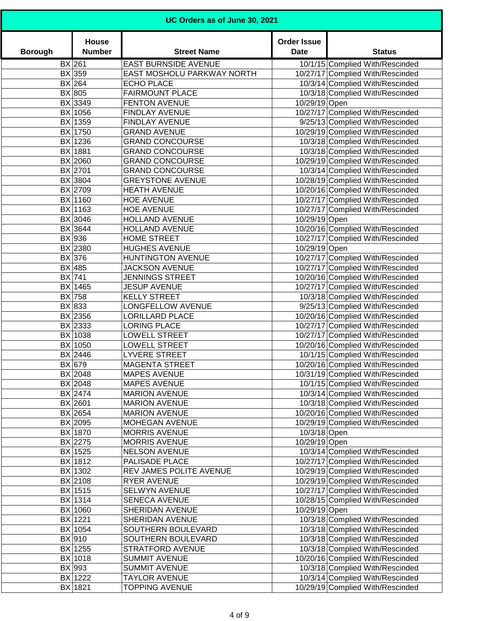| UC Orders as of June 30, 2021 |                        |                             |                                   |                                  |
|-------------------------------|------------------------|-----------------------------|-----------------------------------|----------------------------------|
| <b>Borough</b>                | House<br><b>Number</b> | <b>Street Name</b>          | <b>Order Issue</b><br><b>Date</b> | <b>Status</b>                    |
|                               | $BX$  261              | <b>EAST BURNSIDE AVENUE</b> |                                   | 10/1/15 Complied With/Rescinded  |
|                               | BX 359                 | EAST MOSHOLU PARKWAY NORTH  |                                   | 10/27/17 Complied With/Rescinded |
|                               | $BX$  264              | <b>ECHO PLACE</b>           |                                   | 10/3/14 Complied With/Rescinded  |
|                               | BX 805                 | <b>FAIRMOUNT PLACE</b>      |                                   | 10/3/18 Complied With/Rescinded  |
|                               | BX 3349                | <b>FENTON AVENUE</b>        | 10/29/19 Open                     |                                  |
|                               | BX 1056                | FINDLAY AVENUE              |                                   | 10/27/17 Complied With/Rescinded |
|                               | BX 1359                | FINDLAY AVENUE              |                                   | 9/25/13 Complied With/Rescinded  |
|                               | BX 1750                | <b>GRAND AVENUE</b>         |                                   | 10/29/19 Complied With/Rescinded |
|                               | BX 1236                | <b>GRAND CONCOURSE</b>      |                                   | 10/3/18 Complied With/Rescinded  |
|                               | BX 1881                | <b>GRAND CONCOURSE</b>      |                                   | 10/3/18 Complied With/Rescinded  |
|                               | BX 2060                | <b>GRAND CONCOURSE</b>      |                                   | 10/29/19 Complied With/Rescinded |
|                               | BX 2701                | <b>GRAND CONCOURSE</b>      |                                   | 10/3/14 Complied With/Rescinded  |
|                               | BX 3804                | <b>GREYSTONE AVENUE</b>     |                                   | 10/28/19 Complied With/Rescinded |
|                               | BX 2709                | <b>HEATH AVENUE</b>         |                                   | 10/20/16 Complied With/Rescinded |
|                               | BX 1160                | <b>HOE AVENUE</b>           |                                   | 10/27/17 Complied With/Rescinded |
|                               | BX 1163                | <b>HOE AVENUE</b>           |                                   | 10/27/17 Complied With/Rescinded |
|                               | BX 3046                | <b>HOLLAND AVENUE</b>       | 10/29/19 Open                     |                                  |
|                               | BX 3644                | <b>HOLLAND AVENUE</b>       |                                   | 10/20/16 Complied With/Rescinded |
|                               | BX 936                 | <b>HOME STREET</b>          |                                   | 10/27/17 Complied With/Rescinded |
|                               | BX 2380                | <b>HUGHES AVENUE</b>        | 10/29/19 Open                     |                                  |
|                               | $BX$ 376               | <b>HUNTINGTON AVENUE</b>    |                                   | 10/27/17 Complied With/Rescinded |
|                               | BX 485                 | <b>JACKSON AVENUE</b>       |                                   | 10/27/17 Complied With/Rescinded |
|                               | BX 741                 | <b>JENNINGS STREET</b>      |                                   | 10/20/16 Complied With/Rescinded |
|                               | BX 1465                | <b>JESUP AVENUE</b>         |                                   | 10/27/17 Complied With/Rescinded |
|                               | BX 758                 | <b>KELLY STREET</b>         |                                   | 10/3/18 Complied With/Rescinded  |
|                               | BX 833                 | LONGFELLOW AVENUE           |                                   | 9/25/13 Complied With/Rescinded  |
|                               | BX 2356                | <b>LORILLARD PLACE</b>      |                                   | 10/20/16 Complied With/Rescinded |
|                               | BX 2333                | <b>LORING PLACE</b>         |                                   | 10/27/17 Complied With/Rescinded |
|                               | BX 1038                | <b>LOWELL STREET</b>        |                                   | 10/27/17 Complied With/Rescinded |
|                               | BX 1050                | <b>LOWELL STREET</b>        |                                   | 10/20/16 Complied With/Rescinded |
|                               | $BX$ 2446              | LYVERE STREET               |                                   |                                  |
|                               |                        |                             |                                   | 10/1/15 Complied With/Rescinded  |
|                               | $BX$ 679               | <b>MAGENTA STREET</b>       |                                   | 10/20/16 Complied With/Rescinded |
|                               | BX 2048                | <b>MAPES AVENUE</b>         |                                   | 10/31/19 Complied With/Rescinded |
|                               | BX 2048                | <b>MAPES AVENUE</b>         |                                   | 10/1/15 Complied With/Rescinded  |
|                               | BX 2474                | <b>MARION AVENUE</b>        |                                   | 10/3/14 Complied With/Rescinded  |
|                               | BX 2601                | <b>MARION AVENUE</b>        |                                   | 10/3/18 Complied With/Rescinded  |
|                               | BX 2654                | <b>MARION AVENUE</b>        |                                   | 10/20/16 Complied With/Rescinded |
|                               | BX 2095                | MOHEGAN AVENUE              |                                   | 10/29/19 Complied With/Rescinded |
|                               | BX 1870                | <b>MORRIS AVENUE</b>        | 10/3/18 Open                      |                                  |
|                               | BX 2275                | <b>MORRIS AVENUE</b>        | 10/29/19 Open                     |                                  |
|                               | BX 1525                | <b>NELSON AVENUE</b>        |                                   | 10/3/14 Complied With/Rescinded  |
|                               | BX 1812                | PALISADE PLACE              |                                   | 10/27/17 Complied With/Rescinded |
|                               | BX 1302                | REV JAMES POLITE AVENUE     |                                   | 10/29/19 Complied With/Rescinded |
|                               | BX 2108                | <b>RYER AVENUE</b>          |                                   | 10/29/19 Complied With/Rescinded |
|                               | BX 1515                | SELWYN AVENUE               |                                   | 10/27/17 Complied With/Rescinded |
|                               | BX 1314                | SENECA AVENUE               |                                   | 10/28/15 Complied With/Rescinded |
|                               | BX 1060                | SHERIDAN AVENUE             | 10/29/19 Open                     |                                  |
|                               | BX 1221                | SHERIDAN AVENUE             |                                   | 10/3/18 Complied With/Rescinded  |
|                               | BX 1054                | SOUTHERN BOULEVARD          |                                   | 10/3/18 Complied With/Rescinded  |
|                               | BX 910                 | SOUTHERN BOULEVARD          |                                   | 10/3/18 Complied With/Rescinded  |
|                               | BX 1255                | <b>STRATFORD AVENUE</b>     |                                   | 10/3/18 Complied With/Rescinded  |
|                               | BX 1018                | <b>SUMMIT AVENUE</b>        |                                   | 10/20/16 Complied With/Rescinded |
|                               | BX 993                 | <b>SUMMIT AVENUE</b>        |                                   | 10/3/18 Complied With/Rescinded  |
|                               | BX 1222                | <b>TAYLOR AVENUE</b>        |                                   | 10/3/14 Complied With/Rescinded  |
|                               | BX 1821                | <b>TOPPING AVENUE</b>       |                                   | 10/29/19 Complied With/Rescinded |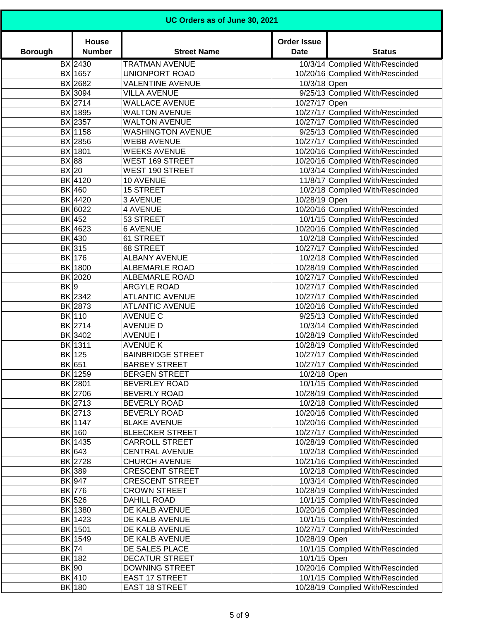| UC Orders as of June 30, 2021 |                        |                          |                                   |                                  |
|-------------------------------|------------------------|--------------------------|-----------------------------------|----------------------------------|
| <b>Borough</b>                | House<br><b>Number</b> | <b>Street Name</b>       | <b>Order Issue</b><br><b>Date</b> | <b>Status</b>                    |
|                               | BX 2430                | <b>TRATMAN AVENUE</b>    |                                   | 10/3/14 Complied With/Rescinded  |
|                               | BX 1657                | UNIONPORT ROAD           |                                   | 10/20/16 Complied With/Rescinded |
|                               | BX 2682                | <b>VALENTINE AVENUE</b>  | 10/3/18 Open                      |                                  |
|                               | BX 3094                | <b>VILLA AVENUE</b>      |                                   | 9/25/13 Complied With/Rescinded  |
|                               | BX 2714                | <b>WALLACE AVENUE</b>    | 10/27/17 Open                     |                                  |
|                               | BX 1895                | <b>WALTON AVENUE</b>     |                                   | 10/27/17 Complied With/Rescinded |
|                               | BX 2357                | <b>WALTON AVENUE</b>     |                                   | 10/27/17 Complied With/Rescinded |
|                               | BX 1158                | <b>WASHINGTON AVENUE</b> |                                   | 9/25/13 Complied With/Rescinded  |
|                               | BX 2856                | <b>WEBB AVENUE</b>       |                                   | 10/27/17 Complied With/Rescinded |
|                               | BX 1801                | <b>WEEKS AVENUE</b>      |                                   | 10/20/16 Complied With/Rescinded |
| BX 88                         |                        | <b>WEST 169 STREET</b>   |                                   | 10/20/16 Complied With/Rescinded |
| BX 20                         |                        | <b>WEST 190 STREET</b>   |                                   | 10/3/14 Complied With/Rescinded  |
|                               | BK 4120                | 10 AVENUE                |                                   | 11/8/17 Complied With/Rescinded  |
|                               | <b>BK</b> 460          | <b>15 STREET</b>         |                                   | 10/2/18 Complied With/Rescinded  |
|                               | BK 4420                | 3 AVENUE                 | 10/28/19 Open                     |                                  |
|                               | BK 6022                | <b>4 AVENUE</b>          |                                   | 10/20/16 Complied With/Rescinded |
|                               | BK 452                 | 53 STREET                |                                   | 10/1/15 Complied With/Rescinded  |
|                               | BK 4623                | <b>6 AVENUE</b>          |                                   | 10/20/16 Complied With/Rescinded |
|                               | BK 430                 | 61 STREET                |                                   | 10/2/18 Complied With/Rescinded  |
|                               | BK 315                 | 68 STREET                |                                   | 10/27/17 Complied With/Rescinded |
|                               | BK 176                 | <b>ALBANY AVENUE</b>     |                                   | 10/2/18 Complied With/Rescinded  |
|                               | BK 1800                | <b>ALBEMARLE ROAD</b>    |                                   | 10/28/19 Complied With/Rescinded |
|                               | BK 2020                | <b>ALBEMARLE ROAD</b>    |                                   | 10/27/17 Complied With/Rescinded |
| BK 9                          |                        | <b>ARGYLE ROAD</b>       |                                   | 10/27/17 Complied With/Rescinded |
|                               | BK 2342                | <b>ATLANTIC AVENUE</b>   |                                   | 10/27/17 Complied With/Rescinded |
|                               | BK 2873                | <b>ATLANTIC AVENUE</b>   |                                   | 10/20/16 Complied With/Rescinded |
|                               | BK 110                 | <b>AVENUE C</b>          |                                   | 9/25/13 Complied With/Rescinded  |
|                               | BK 2714                | <b>AVENUE D</b>          |                                   | 10/3/14 Complied With/Rescinded  |
|                               | BK 3402                | <b>AVENUE I</b>          |                                   | 10/28/19 Complied With/Rescinded |
|                               | BK 1311                | <b>AVENUE K</b>          |                                   | 10/28/19 Complied With/Rescinded |
|                               | BK 125                 | <b>BAINBRIDGE STREET</b> |                                   | 10/27/17 Complied With/Rescinded |
|                               | BK 651                 | <b>BARBEY STREET</b>     |                                   | 10/27/17 Complied With/Rescinded |
|                               | BK 1259                | <b>BERGEN STREET</b>     | 10/2/18 Open                      |                                  |
|                               | BK 2801                | BEVERLEY ROAD            |                                   | 10/1/15 Complied With/Rescinded  |
|                               | BK 2706                | BEVERLY ROAD             |                                   | 10/28/19 Complied With/Rescinded |
|                               | BK 2713                | BEVERLY ROAD             |                                   | 10/2/18 Complied With/Rescinded  |
|                               | BK 2713                | <b>BEVERLY ROAD</b>      |                                   | 10/20/16 Complied With/Rescinded |
|                               | BK 1147                | <b>BLAKE AVENUE</b>      |                                   | 10/20/16 Complied With/Rescinded |
|                               | BK 160                 | <b>BLEECKER STREET</b>   |                                   | 10/27/17 Complied With/Rescinded |
|                               | BK 1435                | <b>CARROLL STREET</b>    |                                   | 10/28/19 Complied With/Rescinded |
|                               | BK 643                 | <b>CENTRAL AVENUE</b>    |                                   | 10/2/18 Complied With/Rescinded  |
|                               | BK 2728                | <b>CHURCH AVENUE</b>     |                                   | 10/21/16 Complied With/Rescinded |
|                               | BK 389                 | <b>CRESCENT STREET</b>   |                                   | 10/2/18 Complied With/Rescinded  |
|                               | BK 947                 | <b>CRESCENT STREET</b>   |                                   | 10/3/14 Complied With/Rescinded  |
|                               | BK 776                 | <b>CROWN STREET</b>      |                                   | 10/28/19 Complied With/Rescinded |
|                               | BK 526                 | <b>DAHILL ROAD</b>       |                                   | 10/1/15 Complied With/Rescinded  |
|                               | BK 1380                | DE KALB AVENUE           |                                   | 10/20/16 Complied With/Rescinded |
|                               | BK 1423                | DE KALB AVENUE           |                                   | 10/1/15 Complied With/Rescinded  |
|                               | BK 1501                | DE KALB AVENUE           |                                   | 10/27/17 Complied With/Rescinded |
|                               | BK 1549                | DE KALB AVENUE           | 10/28/19 Open                     |                                  |
| BK 74                         |                        | DE SALES PLACE           |                                   | 10/1/15 Complied With/Rescinded  |
|                               | BK 182                 | <b>DECATUR STREET</b>    | 10/1/15 Open                      |                                  |
| BK 90                         |                        | <b>DOWNING STREET</b>    |                                   | 10/20/16 Complied With/Rescinded |
|                               | BK 410                 | <b>EAST 17 STREET</b>    |                                   | 10/1/15 Complied With/Rescinded  |
|                               | BK 180                 | <b>EAST 18 STREET</b>    |                                   | 10/28/19 Complied With/Rescinded |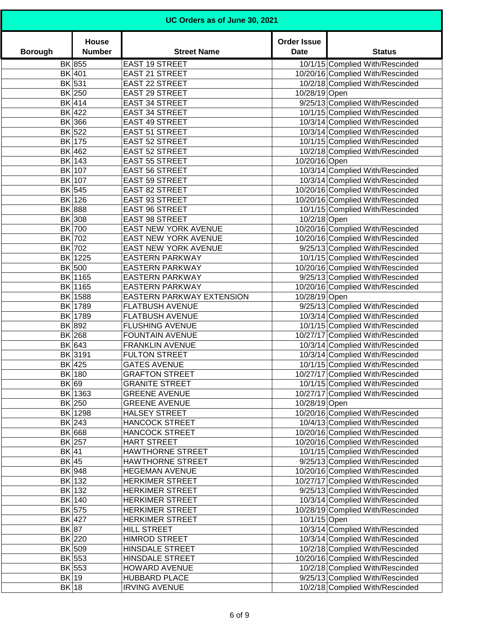| UC Orders as of June 30, 2021 |                        |                                                  |                                   |                                                                      |
|-------------------------------|------------------------|--------------------------------------------------|-----------------------------------|----------------------------------------------------------------------|
| <b>Borough</b>                | House<br><b>Number</b> | <b>Street Name</b>                               | <b>Order Issue</b><br><b>Date</b> | <b>Status</b>                                                        |
|                               | BK 855                 | <b>EAST 19 STREET</b>                            |                                   | 10/1/15 Complied With/Rescinded                                      |
|                               | BK 401                 | <b>EAST 21 STREET</b>                            |                                   | 10/20/16 Complied With/Rescinded                                     |
|                               | BK 531                 | <b>EAST 22 STREET</b>                            |                                   | 10/2/18 Complied With/Rescinded                                      |
|                               | BK 250                 | EAST 29 STREET                                   | 10/28/19 Open                     |                                                                      |
|                               | BK 414                 | <b>EAST 34 STREET</b>                            |                                   | 9/25/13 Complied With/Rescinded                                      |
|                               | BK 422                 | <b>EAST 34 STREET</b>                            |                                   | 10/1/15 Complied With/Rescinded                                      |
|                               | BK 366                 | <b>EAST 49 STREET</b>                            |                                   | 10/3/14 Complied With/Rescinded                                      |
|                               | BK 522                 | EAST 51 STREET                                   |                                   | 10/3/14 Complied With/Rescinded                                      |
|                               | BK 175                 | <b>EAST 52 STREET</b>                            |                                   | 10/1/15 Complied With/Rescinded                                      |
|                               | BK 462                 | <b>EAST 52 STREET</b>                            |                                   | 10/2/18 Complied With/Rescinded                                      |
|                               | BK 143                 | <b>EAST 55 STREET</b>                            | 10/20/16 Open                     |                                                                      |
|                               | BK 107                 | <b>EAST 56 STREET</b>                            |                                   | 10/3/14 Complied With/Rescinded                                      |
|                               | BK 107                 | <b>EAST 59 STREET</b>                            |                                   | 10/3/14 Complied With/Rescinded                                      |
|                               | BK 545                 | <b>EAST 82 STREET</b>                            |                                   | 10/20/16 Complied With/Rescinded                                     |
|                               | BK 126                 | <b>EAST 93 STREET</b>                            |                                   | 10/20/16 Complied With/Rescinded                                     |
|                               | BK 888                 | <b>EAST 96 STREET</b>                            |                                   | 10/1/15 Complied With/Rescinded                                      |
|                               | BK 308                 | <b>EAST 98 STREET</b>                            | 10/2/18 Open                      |                                                                      |
|                               | BK 700                 | EAST NEW YORK AVENUE                             |                                   | 10/20/16 Complied With/Rescinded                                     |
|                               | BK 702                 | EAST NEW YORK AVENUE                             |                                   | 10/20/16 Complied With/Rescinded                                     |
|                               | BK 702                 | EAST NEW YORK AVENUE                             |                                   | 9/25/13 Complied With/Rescinded                                      |
|                               | BK 1225                | <b>EASTERN PARKWAY</b>                           |                                   | 10/1/15 Complied With/Rescinded                                      |
|                               | BK 500                 | <b>EASTERN PARKWAY</b>                           |                                   | 10/20/16 Complied With/Rescinded                                     |
|                               | BK 1165                | <b>EASTERN PARKWAY</b>                           |                                   | 9/25/13 Complied With/Rescinded                                      |
|                               | BK 1165                | <b>EASTERN PARKWAY</b>                           |                                   | 10/20/16 Complied With/Rescinded                                     |
|                               | BK 1588                | EASTERN PARKWAY EXTENSION                        | 10/28/19 Open                     |                                                                      |
|                               | BK 1789                | <b>FLATBUSH AVENUE</b>                           |                                   | 9/25/13 Complied With/Rescinded                                      |
|                               | BK 1789                | <b>FLATBUSH AVENUE</b>                           |                                   | 10/3/14 Complied With/Rescinded                                      |
|                               | BK 892                 | <b>FLUSHING AVENUE</b>                           |                                   | 10/1/15 Complied With/Rescinded                                      |
|                               | BK 268                 | <b>FOUNTAIN AVENUE</b>                           |                                   | 10/27/17 Complied With/Rescinded                                     |
|                               | BK 643                 | <b>FRANKLIN AVENUE</b>                           |                                   | 10/3/14 Complied With/Rescinded                                      |
|                               | BK 3191                | <b>FULTON STREET</b>                             |                                   | 10/3/14 Complied With/Rescinded                                      |
|                               | BK 425                 | <b>GATES AVENUE</b>                              |                                   | 10/1/15 Complied With/Rescinded                                      |
|                               | BK 180                 | <b>GRAFTON STREET</b>                            |                                   | 10/27/17 Complied With/Rescinded                                     |
| BK 69                         |                        | <b>GRANITE STREET</b>                            |                                   | 10/1/15 Complied With/Rescinded                                      |
|                               | BK 1363                | <b>GREENE AVENUE</b>                             |                                   | 10/27/17 Complied With/Rescinded                                     |
|                               | BK 250                 | <b>GREENE AVENUE</b>                             | 10/28/19 Open                     |                                                                      |
|                               | BK 1298                | HALSEY STREET                                    |                                   | 10/20/16 Complied With/Rescinded                                     |
|                               | BK 243                 | <b>HANCOCK STREET</b><br><b>HANCOCK STREET</b>   |                                   | 10/4/13 Complied With/Rescinded                                      |
|                               | BK 668                 | <b>HART STREET</b>                               |                                   | 10/20/16 Complied With/Rescinded<br>10/20/16 Complied With/Rescinded |
|                               | $BK$ 257               | <b>HAWTHORNE STREET</b>                          |                                   | 10/1/15 Complied With/Rescinded                                      |
| $BK$ 41<br>$BK$ 45            |                        |                                                  |                                   |                                                                      |
|                               | BK 948                 | <b>HAWTHORNE STREET</b><br><b>HEGEMAN AVENUE</b> |                                   | 9/25/13 Complied With/Rescinded                                      |
|                               | BK 132                 | <b>HERKIMER STREET</b>                           |                                   | 10/20/16 Complied With/Rescinded                                     |
|                               |                        |                                                  |                                   | 10/27/17 Complied With/Rescinded                                     |
|                               | BK 132<br>BK 140       | <b>HERKIMER STREET</b><br><b>HERKIMER STREET</b> |                                   | 9/25/13 Complied With/Rescinded<br>10/3/14 Complied With/Rescinded   |
|                               | BK 575                 | <b>HERKIMER STREET</b>                           |                                   | 10/28/19 Complied With/Rescinded                                     |
|                               | BK 427                 | <b>HERKIMER STREET</b>                           | 10/1/15 Open                      |                                                                      |
| BK 87                         |                        | <b>HILL STREET</b>                               |                                   | 10/3/14 Complied With/Rescinded                                      |
|                               | BK 220                 | <b>HIMROD STREET</b>                             |                                   | 10/3/14 Complied With/Rescinded                                      |
|                               | BK 509                 | HINSDALE STREET                                  |                                   | 10/2/18 Complied With/Rescinded                                      |
|                               | BK 553                 | HINSDALE STREET                                  |                                   | 10/20/16 Complied With/Rescinded                                     |
|                               | BK 553                 | <b>HOWARD AVENUE</b>                             |                                   | 10/2/18 Complied With/Rescinded                                      |
| BK 19                         |                        | <b>HUBBARD PLACE</b>                             |                                   | 9/25/13 Complied With/Rescinded                                      |
| BK 18                         |                        | <b>IRVING AVENUE</b>                             |                                   | 10/2/18 Complied With/Rescinded                                      |
|                               |                        |                                                  |                                   |                                                                      |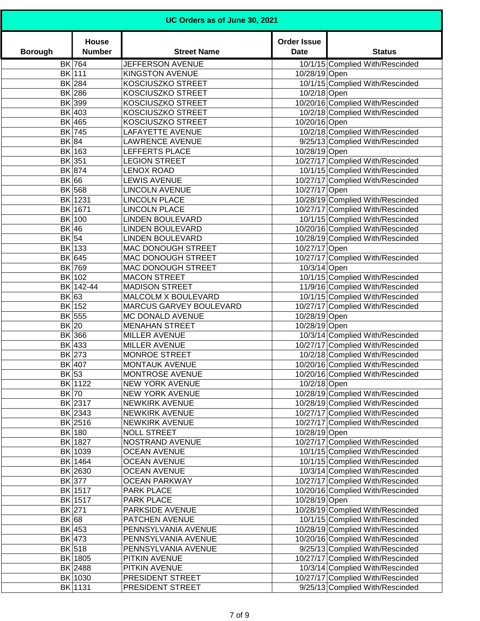| UC Orders as of June 30, 2021 |                        |                                                 |                                   |                                                                      |
|-------------------------------|------------------------|-------------------------------------------------|-----------------------------------|----------------------------------------------------------------------|
| <b>Borough</b>                | House<br><b>Number</b> | <b>Street Name</b>                              | <b>Order Issue</b><br><b>Date</b> | <b>Status</b>                                                        |
|                               | BK 764                 | JEFFERSON AVENUE                                |                                   | 10/1/15 Complied With/Rescinded                                      |
|                               | BK 111                 | <b>KINGSTON AVENUE</b>                          | 10/28/19 Open                     |                                                                      |
|                               | BK 284                 | KOSCIUSZKO STREET                               |                                   | 10/1/15 Complied With/Rescinded                                      |
|                               | BK 286                 | KOSCIUSZKO STREET                               | 10/2/18 Open                      |                                                                      |
|                               | BK 399                 | <b>KOSCIUSZKO STREET</b>                        |                                   | 10/20/16 Complied With/Rescinded                                     |
|                               | BK 403                 | KOSCIUSZKO STREET                               |                                   | 10/2/18 Complied With/Rescinded                                      |
|                               | BK 465                 | KOSCIUSZKO STREET                               | 10/20/16 Open                     |                                                                      |
|                               | BK 745                 | <b>LAFAYETTE AVENUE</b>                         |                                   | 10/2/18 Complied With/Rescinded                                      |
| BK 84                         |                        | <b>LAWRENCE AVENUE</b>                          |                                   | 9/25/13 Complied With/Rescinded                                      |
|                               | BK 163                 | LEFFERTS PLACE                                  | 10/28/19 Open                     |                                                                      |
|                               | BK 351                 | <b>LEGION STREET</b>                            |                                   | 10/27/17 Complied With/Rescinded                                     |
|                               | BK 874                 | <b>LENOX ROAD</b>                               |                                   | 10/1/15 Complied With/Rescinded                                      |
| BK 66                         |                        | <b>LEWIS AVENUE</b>                             |                                   | 10/27/17 Complied With/Rescinded                                     |
|                               | BK 568                 | <b>LINCOLN AVENUE</b>                           | 10/27/17 Open                     |                                                                      |
|                               | BK 1231                | <b>LINCOLN PLACE</b>                            |                                   | 10/28/19 Complied With/Rescinded                                     |
|                               | BK 1671<br>BK 100      | <b>LINCOLN PLACE</b><br><b>LINDEN BOULEVARD</b> |                                   | 10/27/17 Complied With/Rescinded                                     |
| BK 46                         |                        | <b>LINDEN BOULEVARD</b>                         |                                   | 10/1/15 Complied With/Rescinded                                      |
| BK 54                         |                        | <b>LINDEN BOULEVARD</b>                         |                                   | 10/20/16 Complied With/Rescinded<br>10/28/19 Complied With/Rescinded |
|                               | BK 133                 | MAC DONOUGH STREET                              | 10/27/17 Open                     |                                                                      |
|                               | BK 645                 | MAC DONOUGH STREET                              |                                   | 10/27/17 Complied With/Rescinded                                     |
|                               | BK 769                 | MAC DONOUGH STREET                              | 10/3/14 Open                      |                                                                      |
|                               | BK 102                 | <b>MACON STREET</b>                             |                                   | 10/1/15 Complied With/Rescinded                                      |
|                               | BK 142-44              | <b>MADISON STREET</b>                           |                                   | 11/9/16 Complied With/Rescinded                                      |
| BK 63                         |                        | MALCOLM X BOULEVARD                             |                                   | 10/1/15 Complied With/Rescinded                                      |
|                               | BK 152                 | MARCUS GARVEY BOULEVARD                         |                                   | 10/27/17 Complied With/Rescinded                                     |
|                               | BK 555                 | MC DONALD AVENUE                                | 10/28/19 Open                     |                                                                      |
| $BK$  20                      |                        | <b>MENAHAN STREET</b>                           | 10/28/19 Open                     |                                                                      |
|                               | BK 366                 | <b>MILLER AVENUE</b>                            |                                   | 10/3/14 Complied With/Rescinded                                      |
|                               | BK 433                 | <b>MILLER AVENUE</b>                            |                                   | 10/27/17 Complied With/Rescinded                                     |
|                               | BK 273                 | <b>MONROE STREET</b>                            |                                   | 10/2/18 Complied With/Rescinded                                      |
|                               | BK 407                 | MONTAUK AVENUE                                  |                                   | 10/20/16 Complied With/Rescinded                                     |
| $BK$ 53                       |                        | MONTROSE AVENUE                                 |                                   | 10/20/16 Complied With/Rescinded                                     |
|                               | BK 1122                | NEW YORK AVENUE                                 | 10/2/18 Open                      |                                                                      |
| $BK$ 70                       |                        | NEW YORK AVENUE                                 |                                   | 10/28/19 Complied With/Rescinded                                     |
|                               | BK 2317                | NEWKIRK AVENUE                                  |                                   | 10/28/19 Complied With/Rescinded                                     |
|                               | BK 2343                | <b>NEWKIRK AVENUE</b>                           |                                   | 10/27/17 Complied With/Rescinded                                     |
|                               | BK 2516                | <b>NEWKIRK AVENUE</b>                           |                                   | 10/27/17 Complied With/Rescinded                                     |
|                               | BK 180                 | <b>NOLL STREET</b>                              | 10/28/19 Open                     |                                                                      |
|                               | BK 1827                | NOSTRAND AVENUE                                 |                                   | 10/27/17 Complied With/Rescinded                                     |
|                               | BK 1039                | <b>OCEAN AVENUE</b>                             |                                   | 10/1/15 Complied With/Rescinded                                      |
|                               | BK 1464                | <b>OCEAN AVENUE</b>                             |                                   | 10/1/15 Complied With/Rescinded                                      |
|                               | BK 2630                | <b>OCEAN AVENUE</b>                             |                                   | 10/3/14 Complied With/Rescinded                                      |
|                               | BK 377                 | <b>OCEAN PARKWAY</b>                            |                                   | 10/27/17 Complied With/Rescinded                                     |
|                               | BK 1517                | PARK PLACE                                      |                                   | 10/20/16 Complied With/Rescinded                                     |
|                               | BK 1517                | PARK PLACE                                      | 10/28/19 Open                     |                                                                      |
|                               | BK 271                 | PARKSIDE AVENUE                                 |                                   | 10/28/19 Complied With/Rescinded                                     |
| BK 68                         |                        | PATCHEN AVENUE                                  |                                   | 10/1/15 Complied With/Rescinded                                      |
|                               | BK 453                 | PENNSYLVANIA AVENUE                             |                                   | 10/28/19 Complied With/Rescinded                                     |
|                               | BK 473                 | PENNSYLVANIA AVENUE                             |                                   | 10/20/16 Complied With/Rescinded                                     |
|                               | BK 518                 | PENNSYLVANIA AVENUE                             |                                   | 9/25/13 Complied With/Rescinded                                      |
|                               | BK 1805                | PITKIN AVENUE                                   |                                   | 10/27/17 Complied With/Rescinded                                     |
|                               | BK 2488                | PITKIN AVENUE                                   |                                   | 10/3/14 Complied With/Rescinded                                      |
|                               | BK 1030                | PRESIDENT STREET                                |                                   | 10/27/17 Complied With/Rescinded                                     |
|                               | BK 1131                | PRESIDENT STREET                                |                                   | 9/25/13 Complied With/Rescinded                                      |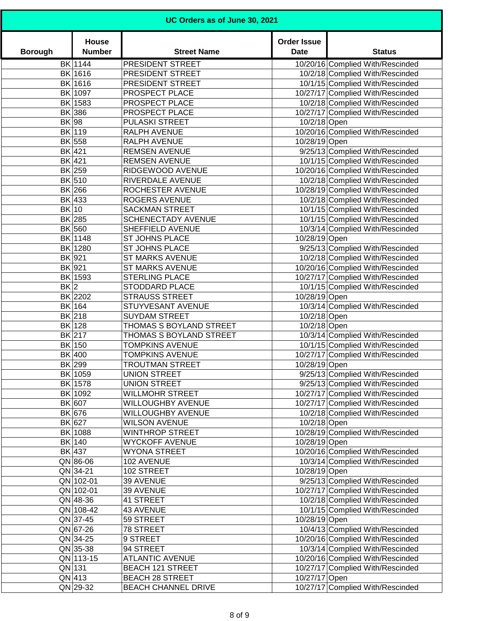| UC Orders as of June 30, 2021 |                        |                                                 |                                   |                                  |
|-------------------------------|------------------------|-------------------------------------------------|-----------------------------------|----------------------------------|
| <b>Borough</b>                | House<br><b>Number</b> | <b>Street Name</b>                              | <b>Order Issue</b><br><b>Date</b> | <b>Status</b>                    |
|                               | BK 1144                | PRESIDENT STREET                                |                                   | 10/20/16 Complied With/Rescinded |
|                               | BK 1616                | PRESIDENT STREET                                |                                   | 10/2/18 Complied With/Rescinded  |
|                               | BK 1616                | PRESIDENT STREET                                |                                   | 10/1/15 Complied With/Rescinded  |
|                               | BK 1097                | PROSPECT PLACE                                  |                                   | 10/27/17 Complied With/Rescinded |
|                               | BK 1583                | PROSPECT PLACE                                  |                                   | 10/2/18 Complied With/Rescinded  |
|                               | BK 386                 | PROSPECT PLACE                                  |                                   | 10/27/17 Complied With/Rescinded |
| BK 98                         |                        | PULASKI STREET                                  | 10/2/18 Open                      |                                  |
|                               | BK 119                 | RALPH AVENUE                                    |                                   | 10/20/16 Complied With/Rescinded |
|                               | BK 558                 | RALPH AVENUE                                    | 10/28/19 Open                     |                                  |
|                               | BK 421                 | <b>REMSEN AVENUE</b>                            |                                   | 9/25/13 Complied With/Rescinded  |
|                               | BK 421                 | <b>REMSEN AVENUE</b>                            |                                   | 10/1/15 Complied With/Rescinded  |
|                               | BK 259                 | RIDGEWOOD AVENUE                                |                                   | 10/20/16 Complied With/Rescinded |
|                               | BK 510                 | RIVERDALE AVENUE                                |                                   | 10/2/18 Complied With/Rescinded  |
|                               | BK 266                 | ROCHESTER AVENUE                                |                                   | 10/28/19 Complied With/Rescinded |
|                               | BK 433                 | <b>ROGERS AVENUE</b>                            |                                   | 10/2/18 Complied With/Rescinded  |
| BK 10                         |                        | <b>SACKMAN STREET</b>                           |                                   | 10/1/15 Complied With/Rescinded  |
|                               | BK 285                 | <b>SCHENECTADY AVENUE</b>                       |                                   | 10/1/15 Complied With/Rescinded  |
|                               | BK 560                 | SHEFFIELD AVENUE                                |                                   | 10/3/14 Complied With/Rescinded  |
|                               | BK 1148                | <b>ST JOHNS PLACE</b>                           | 10/28/19 Open                     |                                  |
|                               | BK 1280                | ST JOHNS PLACE                                  |                                   | 9/25/13 Complied With/Rescinded  |
|                               | BK 921                 | <b>ST MARKS AVENUE</b>                          |                                   | 10/2/18 Complied With/Rescinded  |
|                               | BK 921                 | <b>ST MARKS AVENUE</b>                          |                                   | 10/20/16 Complied With/Rescinded |
|                               | BK 1593                | <b>STERLING PLACE</b>                           |                                   | 10/27/17 Complied With/Rescinded |
| $BK$  2                       |                        | STODDARD PLACE                                  |                                   | 10/1/15 Complied With/Rescinded  |
|                               | BK 2202                | <b>STRAUSS STREET</b>                           | 10/28/19 Open                     |                                  |
|                               | BK 164                 | STUYVESANT AVENUE                               |                                   | 10/3/14 Complied With/Rescinded  |
|                               | BK 218                 | <b>SUYDAM STREET</b>                            | 10/2/18 Open                      |                                  |
|                               | BK 128                 | THOMAS S BOYLAND STREET                         | 10/2/18 Open                      |                                  |
|                               | BK 217                 | THOMAS S BOYLAND STREET                         |                                   | 10/3/14 Complied With/Rescinded  |
|                               | BK 150                 | <b>TOMPKINS AVENUE</b>                          |                                   | 10/1/15 Complied With/Rescinded  |
|                               | BK 400                 | <b>TOMPKINS AVENUE</b>                          |                                   | 10/27/17 Complied With/Rescinded |
|                               | BK 299                 | <b>TROUTMAN STREET</b>                          | 10/28/19 Open                     |                                  |
|                               | BK 1059                | UNION STREET                                    |                                   | 9/25/13 Complied With/Rescinded  |
|                               | BK 1578                | UNION STREET                                    |                                   | 9/25/13 Complied With/Rescinded  |
|                               | BK 1092                | <b>WILLMOHR STREET</b>                          |                                   | 10/27/17 Complied With/Rescinded |
|                               | BK 607                 | <b>WILLOUGHBY AVENUE</b>                        |                                   | 10/27/17 Complied With/Rescinded |
|                               | BK 676                 | <b>WILLOUGHBY AVENUE</b>                        |                                   | 10/2/18 Complied With/Rescinded  |
|                               | BK 627                 | <b>WILSON AVENUE</b>                            | 10/2/18 Open                      |                                  |
|                               | BK 1088                | <b>WINTHROP STREET</b><br><b>WYCKOFF AVENUE</b> |                                   | 10/28/19 Complied With/Rescinded |
|                               | BK 140                 |                                                 | 10/28/19 Open                     | 10/20/16 Complied With/Rescinded |
|                               | BK 437<br>$QN$ 86-06   | <b>WYONA STREET</b><br>102 AVENUE               |                                   |                                  |
|                               | $QN$ 34-21             | 102 STREET                                      |                                   | 10/3/14 Complied With/Rescinded  |
|                               | QN 102-01              | 39 AVENUE                                       | 10/28/19 Open                     | 9/25/13 Complied With/Rescinded  |
|                               | QN 102-01              | 39 AVENUE                                       |                                   | 10/27/17 Complied With/Rescinded |
|                               | $QN$ 48-36             | 41 STREET                                       |                                   | 10/2/18 Complied With/Rescinded  |
|                               | QN 108-42              | 43 AVENUE                                       |                                   | 10/1/15 Complied With/Rescinded  |
|                               | QN 37-45               | 59 STREET                                       | 10/28/19 Open                     |                                  |
|                               | QN 67-26               | 78 STREET                                       |                                   | 10/4/13 Complied With/Rescinded  |
|                               | $QN$ 34-25             | 9 STREET                                        |                                   | 10/20/16 Complied With/Rescinded |
|                               | $QN$ 35-38             | 94 STREET                                       |                                   | 10/3/14 Complied With/Rescinded  |
|                               | QN 113-15              | <b>ATLANTIC AVENUE</b>                          |                                   | 10/20/16 Complied With/Rescinded |
|                               | $QN$ 131               | <b>BEACH 121 STREET</b>                         |                                   | 10/27/17 Complied With/Rescinded |
|                               | $QN$ 413               | <b>BEACH 28 STREET</b>                          | 10/27/17 Open                     |                                  |
|                               | $QN$ 29-32             | <b>BEACH CHANNEL DRIVE</b>                      |                                   | 10/27/17 Complied With/Rescinded |